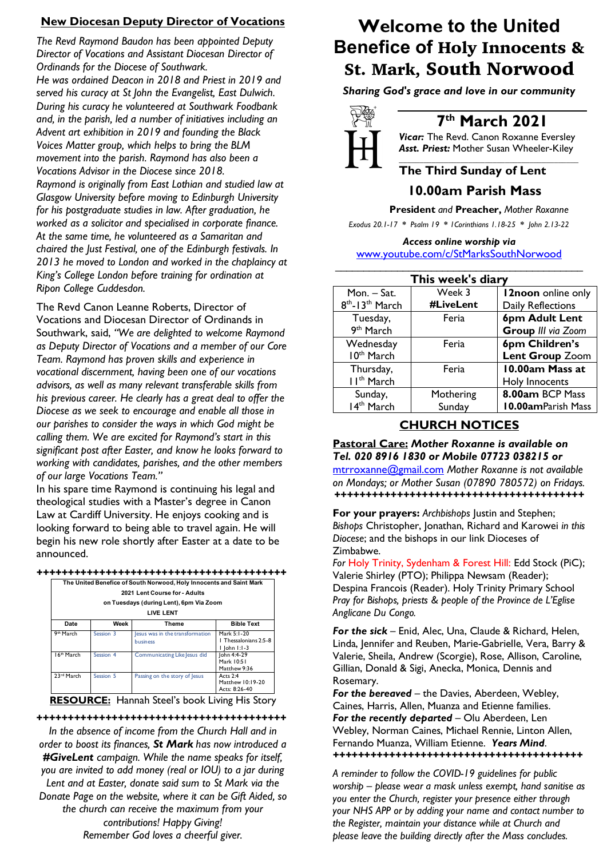## **New Diocesan Deputy Director of Vocations**

*The Revd Raymond Baudon has been appointed Deputy Director of Vocations and Assistant Diocesan Director of Ordinands for the Diocese of Southwark. He was ordained Deacon in 2018 and Priest in 2019 and served his curacy at St John the Evangelist, East Dulwich. During his curacy he volunteered at Southwark Foodbank and, in the parish, led a number of initiatives including an Advent art exhibition in 2019 and founding the Black Voices Matter group, which helps to bring the BLM movement into the parish. Raymond has also been a Vocations Advisor in the Diocese since 2018. Raymond is originally from East Lothian and studied law at Glasgow University before moving to Edinburgh University for his postgraduate studies in law. After graduation, he worked as a solicitor and specialised in corporate finance. At the same time, he volunteered as a Samaritan and chaired the Just Festival, one of the Edinburgh festivals. In 2013 he moved to London and worked in the chaplaincy at King's College London before training for ordination at Ripon College Cuddesdon.*

The Revd Canon Leanne Roberts, Director of Vocations and Diocesan Director of Ordinands in Southwark, said, *"We are delighted to welcome Raymond as Deputy Director of Vocations and a member of our Core Team. Raymond has proven skills and experience in vocational discernment, having been one of our vocations advisors, as well as many relevant transferable skills from his previous career. He clearly has a great deal to offer the Diocese as we seek to encourage and enable all those in our parishes to consider the ways in which God might be calling them. We are excited for Raymond's start in this significant post after Easter, and know he looks forward to working with candidates, parishes, and the other members of our large Vocations Team."*

In his spare time Raymond is continuing his legal and theological studies with a Master's degree in Canon Law at Cardiff University. He enjoys cooking and is looking forward to being able to travel again. He will begin his new role shortly after Easter at a date to be announced.

|                        |           | The United Benefice of South Norwood, Holy Innocents and Saint Mark |                       |  |
|------------------------|-----------|---------------------------------------------------------------------|-----------------------|--|
|                        |           | 2021 Lent Course for - Adults                                       |                       |  |
|                        |           | on Tuesdays (during Lent), 6pm Via Zoom                             |                       |  |
| <b>LIVE LENT</b>       |           |                                                                     |                       |  |
| Date                   | Week      | Theme                                                               | <b>Bible Text</b>     |  |
| 9 <sup>th</sup> March  | Session 3 | lesus was in the transformation                                     | Mark 5:1-20           |  |
|                        |           | business                                                            | 1 Thessalonians 2:5-8 |  |
|                        |           |                                                                     | $ ohn !$ -3           |  |
| 16 <sup>th</sup> March | Session 4 | Communicating Like Jesus did                                        | lohn 4:4-29           |  |
|                        |           |                                                                     | Mark 10:51            |  |

**RESOURCE:** Hannah Steel's book Living His Story

23<sup>rd</sup> March Session 5 Passing on the story of Jesus

Matthew 9:36<br>Acts 2:4

Matthew 10:19-20 Acts: 8:26-40

### **++++++++++++++++++++++++++++++++++++++++**

*In the absence of income from the Church Hall and in order to boost its finances, St Mark has now introduced a #GiveLent campaign. While the name speaks for itself, you are invited to add money (real or IOU) to a jar during Lent and at Easter, donate said sum to St Mark via the Donate Page on the website, where it can be Gift Aided, so the church can receive the maximum from your contributions! Happy Giving! Remember God loves a cheerful giver.*

# **Welcome to the United Benefice of** Holy Innocents & St. Mark, South Norwood

*Sharing God's grace and love in our community*



# **7th March 2021**

*Vicar:* The Revd. Canon Roxanne Eversley *Asst. Priest:* Mother Susan Wheeler-Kiley *\_\_\_\_\_\_\_\_\_\_\_\_\_\_\_\_\_\_\_\_\_\_\_\_\_\_\_\_\_\_\_\_\_\_\_\_\_\_\_\_\_\_\_\_*

## **The Third Sunday of Lent**

### **10.00am Parish Mass**

 **President** *and* **Preacher,** *Mother Roxanne*

*Exodus 20.1-17 \* Psalm 19 \* 1Corinthians 1.18-25 \* John 2.13-22*

### *Access online worship via*

www.youtube.com/c/StMarksSouthNorwood \_\_\_\_\_\_\_\_\_\_\_\_\_\_\_\_\_\_\_\_\_\_\_\_\_\_\_\_\_\_\_\_\_\_\_\_\_\_\_\_\_\_\_\_

| This week's diary                       |           |                           |  |  |
|-----------------------------------------|-----------|---------------------------|--|--|
| Mon. – Sat.                             | Week 3    | 12noon online only        |  |  |
| 8 <sup>th</sup> -13 <sup>th</sup> March | #LiveLent | Daily Reflections         |  |  |
| Tuesday,                                | Feria     | 6pm Adult Lent            |  |  |
| 9 <sup>th</sup> March                   |           | Group III via Zoom        |  |  |
| Wednesday                               | Feria     | 6pm Children's            |  |  |
| 10 <sup>th</sup> March                  |           | Lent Group Zoom           |  |  |
| Thursday,                               | Feria     | 10.00am Mass at           |  |  |
| II <sup>th</sup> March                  |           | Holy Innocents            |  |  |
| Sunday,                                 | Mothering | 8.00am BCP Mass           |  |  |
| 14 <sup>th</sup> March                  | Sunday    | <b>10.00amParish Mass</b> |  |  |

## **CHURCH NOTICES**

**Pastoral Care:** *Mother Roxanne is available on Tel. 020 8916 1830 or Mobile 07723 038215 or* mtrroxanne@gmail.com *Mother Roxanne is not available on Mondays; or Mother Susan (07890 780572) on Fridays. ++++++++++++++++++++++++++++++++++++++++*

**For your prayers:** *Archbishops* Justin and Stephen; *Bishops* Christopher, Jonathan, Richard and Karowei *in this Diocese*; and the bishops in our link Dioceses of Zimbabwe.

*For* Holy Trinity, Sydenham & Forest Hill: Edd Stock (PiC); Valerie Shirley (PTO); Philippa Newsam (Reader); Despina Francois (Reader). Holy Trinity Primary School *Pray for Bishops, priests & people of the Province de L'Eglise Anglicane Du Congo.*

*For the sick* – Enid, Alec, Una, Claude & Richard, Helen, Linda, Jennifer and Reuben, Marie-Gabrielle, Vera, Barry & Valerie, Sheila, Andrew (Scorgie), Rose, Allison, Caroline, Gillian, Donald & Sigi, Anecka, Monica, Dennis and Rosemary.

*For the bereaved –* the Davies, Aberdeen, Webley, Caines, Harris, Allen, Muanza and Etienne families. *For the recently departed* – Olu Aberdeen, Len Webley, Norman Caines, Michael Rennie, Linton Allen, Fernando Muanza, William Etienne. *Years Mind*. *++++++++++++++++++++++++++++++++++++++++*

*A reminder to follow the COVID-19 guidelines for public worship – please wear a mask unless exempt, hand sanitise as you enter the Church, register your presence either through your NHS APP or by adding your name and contact number to the Register, maintain your distance while at Church and please leave the building directly after the Mass concludes.*